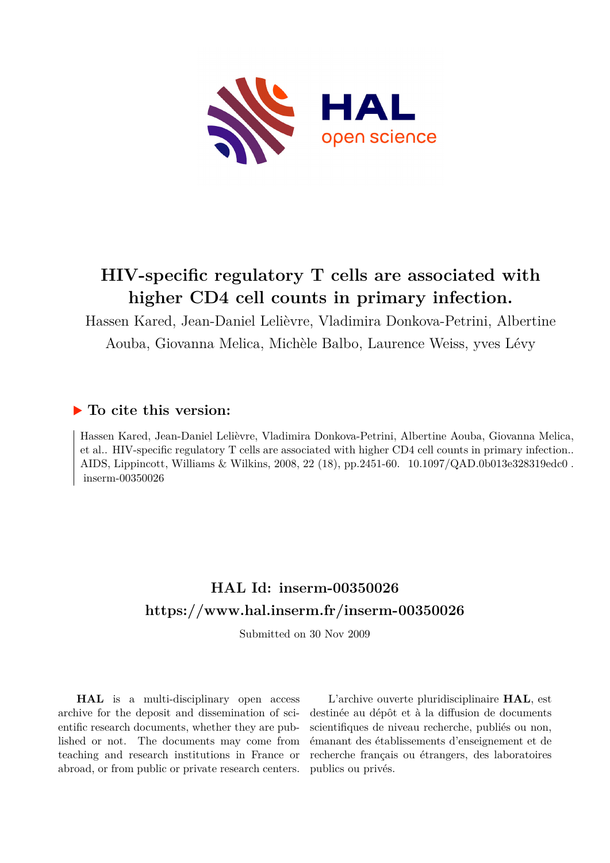

# **HIV-specific regulatory T cells are associated with higher CD4 cell counts in primary infection.**

Hassen Kared, Jean-Daniel Lelièvre, Vladimira Donkova-Petrini, Albertine Aouba, Giovanna Melica, Michèle Balbo, Laurence Weiss, yves Lévy

## **To cite this version:**

Hassen Kared, Jean-Daniel Lelièvre, Vladimira Donkova-Petrini, Albertine Aouba, Giovanna Melica, et al.. HIV-specific regulatory T cells are associated with higher CD4 cell counts in primary infection.. AIDS, Lippincott, Williams & Wilkins, 2008, 22 (18), pp.2451-60. 10.1097/QAD.0b013e328319edc0.  $inserm-00350026$ 

## **HAL Id: inserm-00350026 <https://www.hal.inserm.fr/inserm-00350026>**

Submitted on 30 Nov 2009

**HAL** is a multi-disciplinary open access archive for the deposit and dissemination of scientific research documents, whether they are published or not. The documents may come from teaching and research institutions in France or abroad, or from public or private research centers.

L'archive ouverte pluridisciplinaire **HAL**, est destinée au dépôt et à la diffusion de documents scientifiques de niveau recherche, publiés ou non, émanant des établissements d'enseignement et de recherche français ou étrangers, des laboratoires publics ou privés.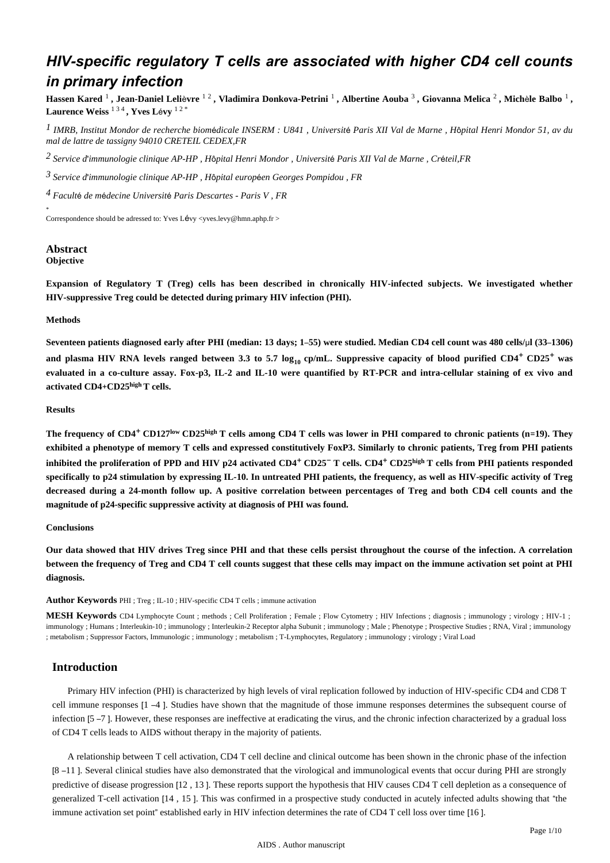## *HIV-specific regulatory T cells are associated with higher CD4 cell counts in primary infection*

**Hassen Kared** <sup>1</sup> **, Jean-Daniel Leli**è**vre** 1 2 **, Vladimira Donkova-Petrini** <sup>1</sup> **, Albertine Aouba** <sup>3</sup> **, Giovanna Melica** <sup>2</sup> **, Mich**è**le Balbo** <sup>1</sup> **, Laurence Weiss** 1 3 4 **, Yves L**é**vy** 1 2 \*

*IMRB, Institut Mondor de recherche biom dicale 1* <sup>é</sup> *INSERM : U841 , Universit*é *Paris XII Val de Marne , H*ô*pital Henri Mondor 51, av du mal de lattre de tassigny 94010 CRETEIL CEDEX,FR*

*Service d immunologie clinique 2*  ' *AP-HP , H*ô*pital Henri Mondor , Universit*é *Paris XII Val de Marne , Cr*é*teil,FR*

*Service d immunologie clinique 3*  ' *AP-HP , H*ô*pital europ*é*en Georges Pompidou , FR*

*Facult de m decine 4* <sup>é</sup> <sup>é</sup> *Universit*é *Paris Descartes - Paris V , FR*

Correspondence should be adressed to: Yves Lévy <yves.levy@hmn.aphp.fr >

#### **Abstract Objective**

\*

**Expansion of Regulatory T (Treg) cells has been described in chronically HIV-infected subjects. We investigated whether HIV-suppressive Treg could be detected during primary HIV infection (PHI).**

#### **Methods**

**Seventeen patients diagnosed early after PHI (median: 13 days; 1**–**55) were studied. Median CD4 cell count was 480 cells/**μ**l (33**–**1306)** and plasma HIV RNA levels ranged between 3.3 to 5.7  $\log_{10}$  cp/mL. Suppressive capacity of blood purified CD4<sup>+</sup> CD25<sup>+</sup> was **evaluated in a co-culture assay. Fox-p3, IL-2 and IL-10 were quantified by RT-PCR and intra-cellular staining of ex vivo and activated CD4**+**CD25 T cells. high** 

#### **Results**

**The frequency of CD4<sup>+</sup> CD127<sup>low</sup> CD25** high T cells among CD4 T cells was lower in PHI compared to chronic patients (n=19). They **exhibited a phenotype of memory T cells and expressed constitutively FoxP3. Similarly to chronic patients, Treg from PHI patients inhibited the proliferation of PPD and HIV p24 activated CD4<sup>+</sup> CD25<sup>-</sup> T cells. CD4<sup>+</sup> CD25<sup>high</sup> T cells from PHI patients responded specifically to p24 stimulation by expressing IL-10. In untreated PHI patients, the frequency, as well as HIV-specific activity of Treg decreased during a 24-month follow up. A positive correlation between percentages of Treg and both CD4 cell counts and the magnitude of p24-specific suppressive activity at diagnosis of PHI was found.**

#### **Conclusions**

**Our data showed that HIV drives Treg since PHI and that these cells persist throughout the course of the infection. A correlation between the frequency of Treg and CD4 T cell counts suggest that these cells may impact on the immune activation set point at PHI diagnosis.**

**Author Keywords** PHI ; Treg ; IL-10 ; HIV-specific CD4 T cells ; immune activation

**MESH Keywords** CD4 Lymphocyte Count ; methods ; Cell Proliferation ; Female ; Flow Cytometry ; HIV Infections ; diagnosis ; immunology ; virology ; HIV-1 ; immunology ; Humans ; Interleukin-10 ; immunology ; Interleukin-2 Receptor alpha Subunit ; immunology ; Male ; Phenotype ; Prospective Studies ; RNA, Viral ; immunology ; metabolism ; Suppressor Factors, Immunologic ; immunology ; metabolism ; T-Lymphocytes, Regulatory ; immunology ; virology ; Viral Load

## **Introduction**

Primary HIV infection (PHI) is characterized by high levels of viral replication followed by induction of HIV-specific CD4 and CD8 T cell immune responses [1 –4 ]. Studies have shown that the magnitude of those immune responses determines the subsequent course of infection [5 –7 ]. However, these responses are ineffective at eradicating the virus, and the chronic infection characterized by a gradual loss of CD4 T cells leads to AIDS without therapy in the majority of patients.

A relationship between T cell activation, CD4 T cell decline and clinical outcome has been shown in the chronic phase of the infection [8 –11 ]. Several clinical studies have also demonstrated that the virological and immunological events that occur during PHI are strongly predictive of disease progression [12 , 13 ]. These reports support the hypothesis that HIV causes CD4 T cell depletion as a consequence of generalized T-cell activation [14 , 15 ]. This was confirmed in a prospective study conducted in acutely infected adults showing that "the immune activation set point" established early in HIV infection determines the rate of CD4 T cell loss over time [16 ].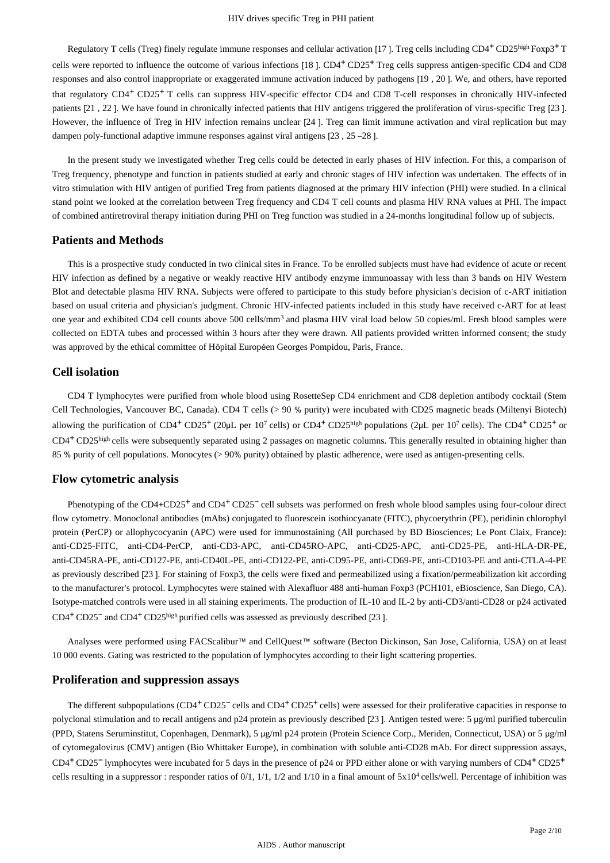Regulatory T cells (Treg) finely regulate immune responses and cellular activation [17]. Treg cells including CD4<sup>+</sup> CD25 high Foxp3<sup>+</sup> T cells were reported to influence the outcome of various infections  $[18]$ .  $CD4<sup>+</sup>CD25<sup>+</sup>$  Treg cells suppress antigen-specific CD4 and CD8 responses and also control inappropriate or exaggerated immune activation induced by pathogens [19 , 20 ]. We, and others, have reported that regulatory CD4<sup>+</sup> CD25<sup>+</sup> T cells can suppress HIV-specific effector CD4 and CD8 T-cell responses in chronically HIV-infected patients [21 , 22 ]. We have found in chronically infected patients that HIV antigens triggered the proliferation of virus-specific Treg [23 ]. However, the influence of Treg in HIV infection remains unclear [24 ]. Treg can limit immune activation and viral replication but may dampen poly-functional adaptive immune responses against viral antigens [23 , 25 –28 ].

In the present study we investigated whether Treg cells could be detected in early phases of HIV infection. For this, a comparison of Treg frequency, phenotype and function in patients studied at early and chronic stages of HIV infection was undertaken. The effects of in vitro stimulation with HIV antigen of purified Treg from patients diagnosed at the primary HIV infection (PHI) were studied. In a clinical stand point we looked at the correlation between Treg frequency and CD4 T cell counts and plasma HIV RNA values at PHI. The impact of combined antiretroviral therapy initiation during PHI on Treg function was studied in a 24-months longitudinal follow up of subjects.

## **Patients and Methods**

This is a prospective study conducted in two clinical sites in France. To be enrolled subjects must have had evidence of acute or recent HIV infection as defined by a negative or weakly reactive HIV antibody enzyme immunoassay with less than 3 bands on HIV Western Blot and detectable plasma HIV RNA. Subjects were offered to participate to this study before physician's decision of c-ART initiation based on usual criteria and physician's judgment. Chronic HIV-infected patients included in this study have received c-ART for at least one year and exhibited CD4 cell counts above 500 cells/mm<sup>3</sup> and plasma HIV viral load below 50 copies/ml. Fresh blood samples were collected on EDTA tubes and processed within 3 hours after they were drawn. All patients provided written informed consent; the study was approved by the ethical committee of Hôpital Européen Georges Pompidou, Paris, France.

### **Cell isolation**

CD4 T lymphocytes were purified from whole blood using RosetteSep CD4 enrichment and CD8 depletion antibody cocktail (Stem Cell Technologies, Vancouver BC, Canada). CD4 T cells (> 90 % purity) were incubated with CD25 magnetic beads (Miltenyi Biotech) allowing the purification of  $CD4^+$   $CD25^+$  (20 $\mu$ L per 10<sup>7</sup> cells) or  $CD4^+$   $CD25^{\text{high}}$  populations (2 $\mu$ L per 10<sup>7</sup> cells). The  $CD4^+$   $CD25^+$  or CD4<sup>+</sup> CD25<sup>high</sup> cells were subsequently separated using 2 passages on magnetic columns. This generally resulted in obtaining higher than 85 % purity of cell populations. Monocytes (> 90% purity) obtained by plastic adherence, were used as antigen-presenting cells.

#### **Flow cytometric analysis**

Phenotyping of the CD4+CD25<sup>+</sup> and CD4<sup>+</sup> CD25<sup>-</sup> cell subsets was performed on fresh whole blood samples using four-colour direct flow cytometry. Monoclonal antibodies (mAbs) conjugated to fluorescein isothiocyanate (FITC), phycoerythrin (PE), peridinin chlorophyl protein (PerCP) or allophycocyanin (APC) were used for immunostaining (All purchased by BD Biosciences; Le Pont Claix, France): anti-CD25-FITC, anti-CD4-PerCP, anti-CD3-APC, anti-CD45RO-APC, anti-CD25-APC, anti-CD25-PE, anti-HLA-DR-PE, anti-CD45RA-PE, anti-CD127-PE, anti-CD40L-PE, anti-CD122-PE, anti-CD95-PE, anti-CD69-PE, anti-CD103-PE and anti-CTLA-4-PE as previously described [23 ]. For staining of Foxp3, the cells were fixed and permeabilized using a fixation/permeabilization kit according to the manufacturer's protocol. Lymphocytes were stained with Alexafluor 488 anti-human Foxp3 (PCH101, eBioscience, San Diego, CA). Isotype-matched controls were used in all staining experiments. The production of IL-10 and IL-2 by anti-CD3/anti-CD28 or p24 activated  $CD4^+$  CD25<sup> $-$ </sup> and CD4<sup>+</sup> CD25<sup>high</sup> purified cells was assessed as previously described [23].

Analyses were performed using FACScalibur™ and CellQuest™ software (Becton Dickinson, San Jose, California, USA) on at least 10 000 events. Gating was restricted to the population of lymphocytes according to their light scattering properties.

## **Proliferation and suppression assays**

The different subpopulations  $(CD4^+CD25^-$  cells and  $CD4^+CD25^+$  cells) were assessed for their proliferative capacities in response to polyclonal stimulation and to recall antigens and p24 protein as previously described [23 ]. Antigen tested were: 5 μg/ml purified tuberculin (PPD, Statens Seruminstitut, Copenhagen, Denmark), 5 μg/ml p24 protein (Protein Science Corp., Meriden, Connecticut, USA) or 5 μg/ml of cytomegalovirus (CMV) antigen (Bio Whittaker Europe), in combination with soluble anti-CD28 mAb. For direct suppression assays, CD4<sup>+</sup> CD25<sup>-</sup> lymphocytes were incubated for 5 days in the presence of p24 or PPD either alone or with varying numbers of CD4<sup>+</sup> CD25<sup>+</sup> cells resulting in a suppressor : responder ratios of 0/1,  $1/1$ ,  $1/2$  and  $1/10$  in a final amount of  $5x10^4$  cells/well. Percentage of inhibition was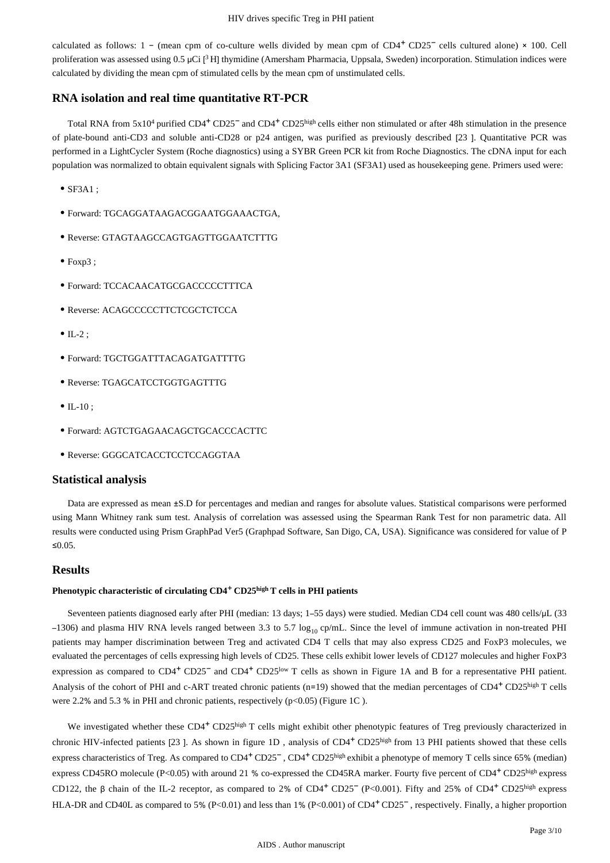calculated as follows: 1 – (mean cpm of co-culture wells divided by mean cpm of  $CD4^+$  CD25<sup>-</sup> cells cultured alone)  $\times$  100. Cell proliferation was assessed using 0.5  $\mu$ Ci [<sup>3</sup> H] thymidine (Amersham Pharmacia, Uppsala, Sweden) incorporation. Stimulation indices were calculated by dividing the mean cpm of stimulated cells by the mean cpm of unstimulated cells.

## **RNA isolation and real time quantitative RT-PCR**

Total RNA from 5x10<sup>4</sup> purified CD4<sup>+</sup> CD25<sup>-</sup> and CD4<sup>+</sup> CD25<sup>high</sup> cells either non stimulated or after 48h stimulation in the presence of plate-bound anti-CD3 and soluble anti-CD28 or p24 antigen, was purified as previously described [23 ]. Quantitative PCR was performed in a LightCycler System (Roche diagnostics) using a SYBR Green PCR kit from Roche Diagnostics. The cDNA input for each population was normalized to obtain equivalent signals with Splicing Factor 3A1 (SF3A1) used as housekeeping gene. Primers used were:

- $\bullet$  SF3A1 :
- Forward: TGCAGGATAAGACGGAATGGAAACTGA,
- Reverse: GTAGTAAGCCAGTGAGTTGGAATCTTTG
- $\bullet$  Foxp3;
- Forward: TCCACAACATGCGACCCCCTTTCA
- Reverse: ACAGCCCCCTTCTCGCTCTCCA
- $\bullet$  IL-2 :
- Forward: TGCTGGATTTACAGATGATTTTG
- Reverse: TGAGCATCCTGGTGAGTTTG
- $\bullet$  IL-10 :
- Forward: AGTCTGAGAACAGCTGCACCCACTTC
- Reverse: GGGCATCACCTCCTCCAGGTAA

#### **Statistical analysis**

Data are expressed as mean ±S.D for percentages and median and ranges for absolute values. Statistical comparisons were performed using Mann Whitney rank sum test. Analysis of correlation was assessed using the Spearman Rank Test for non parametric data. All results were conducted using Prism GraphPad Ver5 (Graphpad Software, San Digo, CA, USA). Significance was considered for value of P  $≤0.05$ .

## **Results**

## **Phenotypic characteristic of circulating CD4<sup>+</sup> CD25<sup>high</sup> T cells in PHI patients**

Seventeen patients diagnosed early after PHI (median: 13 days; 1-55 days) were studied. Median CD4 cell count was 480 cells/µL (33 –1306) and plasma HIV RNA levels ranged between 3.3 to 5.7  $\log_{10}$  cp/mL. Since the level of immune activation in non-treated PHI patients may hamper discrimination between Treg and activated CD4 T cells that may also express CD25 and FoxP3 molecules, we evaluated the percentages of cells expressing high levels of CD25. These cells exhibit lower levels of CD127 molecules and higher FoxP3 expression as compared to CD4<sup>+</sup> CD25<sup>-</sup> and CD4<sup>+</sup> CD25<sup>low</sup> T cells as shown in Figure 1A and B for a representative PHI patient. Analysis of the cohort of PHI and c-ART treated chronic patients (n=19) showed that the median percentages of  $CD4^+$  CD25 high T cells were 2.2% and 5.3 % in PHI and chronic patients, respectively (p<0.05) (Figure 1C).

We investigated whether these CD4<sup>+</sup> CD25<sup>high</sup> T cells might exhibit other phenotypic features of Treg previously characterized in chronic HIV-infected patients [23 ]. As shown in figure 1D, analysis of CD4<sup>+</sup> CD25<sup>high</sup> from 13 PHI patients showed that these cells express characteristics of Treg. As compared to CD4<sup>+</sup> CD25<sup>-</sup>, CD4<sup>+</sup> CD25<sup>high</sup> exhibit a phenotype of memory T cells since 65% (median) express CD45RO molecule (P<0.05) with around 21 % co-expressed the CD45RA marker. Fourty five percent of CD4<sup>+</sup> CD25<sup>high</sup> express CD122, the  $\beta$  chain of the IL-2 receptor, as compared to 2% of CD4<sup>+</sup> CD25<sup>-</sup> (P<0.001). Fifty and 25% of CD4<sup>+</sup> CD25<sup>high</sup> express HLA-DR and CD40L as compared to 5% (P<0.01) and less than 1% (P<0.001) of CD4<sup>+</sup> CD25<sup>-</sup>, respectively. Finally, a higher proportion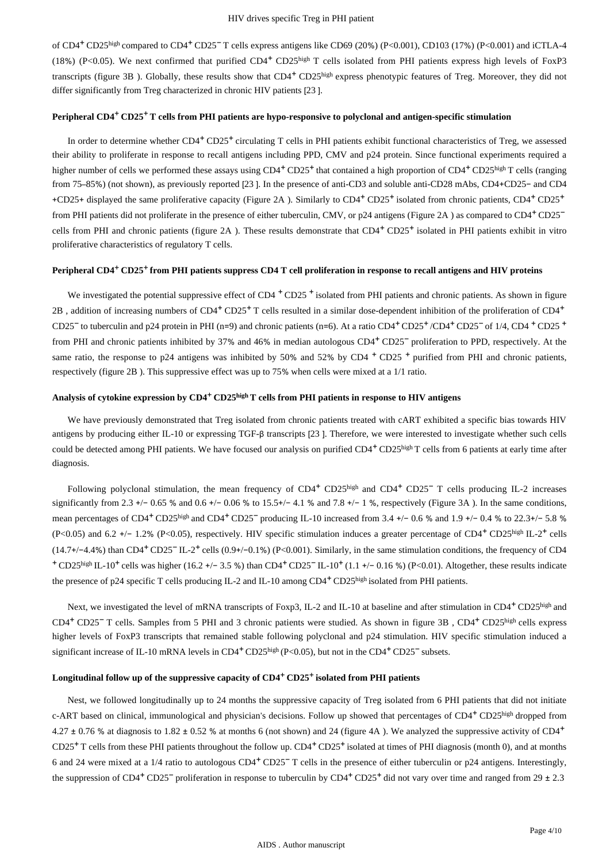of CD4<sup>+</sup> CD25<sup>high</sup> compared to CD4<sup>+</sup> CD25<sup>-</sup> T cells express antigens like CD69 (20%) (P<0.001), CD103 (17%) (P<0.001) and iCTLA-4 (18%) (P<0.05). We next confirmed that purified  $CD4^+$  CD25 high T cells isolated from PHI patients express high levels of FoxP3 transcripts (figure 3B). Globally, these results show that  $CD4^+$  CD25 high express phenotypic features of Treg. Moreover, they did not differ significantly from Treg characterized in chronic HIV patients [23 ].

#### **Peripheral CD4<sup>+</sup> CD25<sup>+</sup> T cells from PHI patients are hypo-responsive to polyclonal and antigen-specific stimulation**

In order to determine whether  $CD4^+CD25^+$  circulating T cells in PHI patients exhibit functional characteristics of Treg, we assessed their ability to proliferate in response to recall antigens including PPD, CMV and p24 protein. Since functional experiments required a higher number of cells we performed these assays using  $CD4^+$  CD25<sup>+</sup> that contained a high proportion of CD4<sup>+</sup> CD25 $^{\text{high}}$ T cells (ranging from 75–85%) (not shown), as previously reported [23 ]. In the presence of anti-CD3 and soluble anti-CD28 mAbs, CD4+CD25− and CD4 +CD25+ displayed the same proliferative capacity (Figure 2A). Similarly to CD4<sup>+</sup> CD25<sup>+</sup> isolated from chronic patients, CD4<sup>+</sup> CD25<sup>+</sup> from PHI patients did not proliferate in the presence of either tuberculin, CMV, or p24 antigens (Figure 2A) as compared to CD4<sup>+</sup> CD25<sup>-</sup> cells from PHI and chronic patients (figure 2A). These results demonstrate that  $CD4^+$  CD25<sup>+</sup> isolated in PHI patients exhibit in vitro proliferative characteristics of regulatory T cells.

#### **Peripheral CD4<sup>+</sup> CD25<sup>+</sup> from PHI patients suppress CD4 T cell proliferation in response to recall antigens and HIV proteins**

We investigated the potential suppressive effect of CD4<sup>+</sup> CD25<sup>+</sup> isolated from PHI patients and chronic patients. As shown in figure 2B, addition of increasing numbers of  $CD4^+$  CD25<sup>+</sup> T cells resulted in a similar dose-dependent inhibition of the proliferation of CD4<sup>+</sup> CD25<sup>-</sup> to tuberculin and p24 protein in PHI (n=9) and chronic patients (n=6). At a ratio CD4<sup>+</sup> CD25<sup>+</sup>/CD4<sup>+</sup> CD25<sup>-</sup> of 1/4, CD4<sup>+</sup> CD25<sup>+</sup> from PHI and chronic patients inhibited by 37% and 46% in median autologous CD4<sup>+</sup> CD25<sup>-</sup> proliferation to PPD, respectively. At the same ratio, the response to p24 antigens was inhibited by 50% and 52% by CD4  $+$  CD25  $+$  purified from PHI and chronic patients, respectively (figure 2B ). This suppressive effect was up to 75% when cells were mixed at a 1/1 ratio.

### Analysis of cytokine expression by CD4<sup>+</sup> CD25<sup>high</sup> T cells from PHI patients in response to HIV antigens

We have previously demonstrated that Treg isolated from chronic patients treated with cART exhibited a specific bias towards HIV antigens by producing either IL-10 or expressing TGF-β transcripts [23 ]. Therefore, we were interested to investigate whether such cells could be detected among PHI patients. We have focused our analysis on purified  $CD4^+$  CD25 high T cells from 6 patients at early time after diagnosis.

Following polyclonal stimulation, the mean frequency of CD4<sup>+</sup> CD25<sup>high</sup> and CD4<sup>+</sup> CD25<sup>-</sup> T cells producing IL-2 increases significantly from 2.3 +/− 0.65 % and 0.6 +/− 0.06 % to 15.5+/− 4.1 % and 7.8 +/− 1 %, respectively (Figure 3A). In the same conditions, mean percentages of CD4<sup>+</sup> CD25<sup>high</sup> and CD4<sup>+</sup> CD25<sup>-</sup> producing IL-10 increased from 3.4 +/- 0.6 % and 1.9 +/- 0.4 % to 22.3+/- 5.8 % (P<0.05) and 6.2 +/- 1.2% (P<0.05), respectively. HIV specific stimulation induces a greater percentage of CD4<sup>+</sup> CD25<sup>high</sup> IL-2<sup>+</sup> cells  $(14.7+/-4.4%)$  than CD4<sup>+</sup> CD25<sup>-</sup> IL-2<sup>+</sup> cells  $(0.9+/-0.1%)$  (P<0.001). Similarly, in the same stimulation conditions, the frequency of CD4 + CD25 high IL-10<sup>+</sup> cells was higher (16.2 +/-3.5 %) than CD4<sup>+</sup> CD25<sup>-</sup> IL-10<sup>+</sup> (1.1 +/-0.16 %) (P<0.01). Altogether, these results indicate the presence of p24 specific T cells producing IL-2 and IL-10 among  $CD4^+CD25^{\text{high}}$  isolated from PHI patients.

Next, we investigated the level of mRNA transcripts of Foxp3, IL-2 and IL-10 at baseline and after stimulation in CD4<sup>+</sup> CD25<sup>high</sup> and CD4<sup>+</sup> CD25<sup>-</sup> T cells. Samples from 5 PHI and 3 chronic patients were studied. As shown in figure 3B, CD4<sup>+</sup> CD25 high cells express higher levels of FoxP3 transcripts that remained stable following polyclonal and p24 stimulation. HIV specific stimulation induced a significant increase of IL-10 mRNA levels in  $CD4^+CD25^{\text{high}}$  (P<0.05), but not in the CD4<sup>+</sup> CD25<sup>-</sup> subsets.

#### Longitudinal follow up of the suppressive capacity of CD4<sup>+</sup> CD25<sup>+</sup> isolated from PHI patients

Nest, we followed longitudinally up to 24 months the suppressive capacity of Treg isolated from 6 PHI patients that did not initiate c-ART based on clinical, immunological and physician's decisions. Follow up showed that percentages of CD4<sup>+</sup> CD25<sup>high</sup> dropped from 4.27  $\pm$  0.76 % at diagnosis to 1.82  $\pm$  0.52 % at months 6 (not shown) and 24 (figure 4A). We analyzed the suppressive activity of CD4<sup>+</sup>  $CD25<sup>+</sup>$  T cells from these PHI patients throughout the follow up.  $CD4<sup>+</sup>$  CD25<sup> $+$ </sup> isolated at times of PHI diagnosis (month 0), and at months 6 and 24 were mixed at a 1/4 ratio to autologous CD4<sup>+</sup> CD25<sup>-</sup> T cells in the presence of either tuberculin or p24 antigens. Interestingly, the suppression of CD4<sup>+</sup> CD25<sup>-</sup> proliferation in response to tuberculin by CD4<sup>+</sup> CD25<sup>+</sup> did not vary over time and ranged from 29  $\pm$  2.3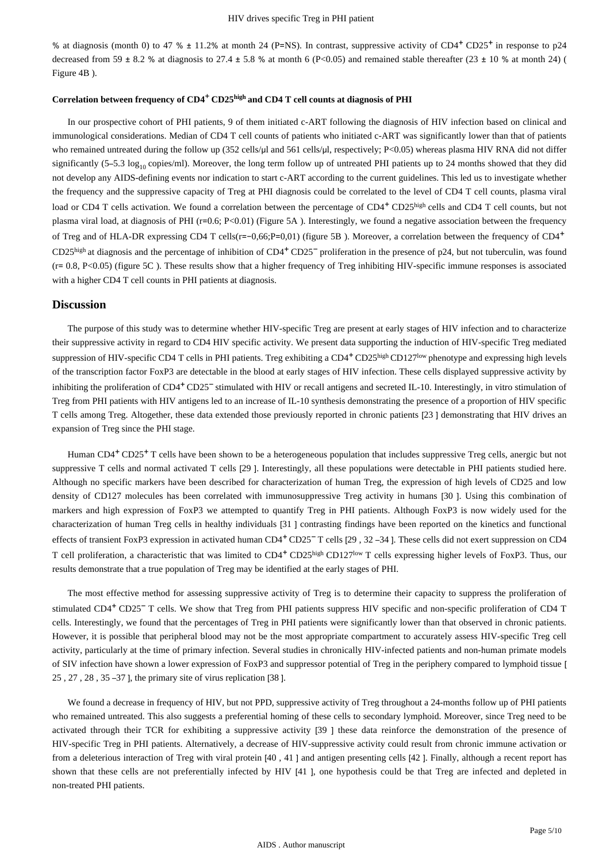% at diagnosis (month 0) to 47 %  $\pm$  11.2% at month 24 (P=NS). In contrast, suppressive activity of CD4<sup>+</sup> CD25<sup>+</sup> in response to p24 decreased from 59  $\pm$  8.2 % at diagnosis to 27.4  $\pm$  5.8 % at month 6 (P<0.05) and remained stable thereafter (23  $\pm$  10 % at month 24) ( Figure 4B ).

### Correlation between frequency of CD4<sup>+</sup> CD25<sup>high</sup> and CD4 T cell counts at diagnosis of PHI

In our prospective cohort of PHI patients, 9 of them initiated c-ART following the diagnosis of HIV infection based on clinical and immunological considerations. Median of CD4 T cell counts of patients who initiated c-ART was significantly lower than that of patients who remained untreated during the follow up (352 cells/μl and 561 cells/μl, respectively; P<0.05) whereas plasma HIV RNA did not differ significantly (5–5.3 log<sub>10</sub> copies/ml). Moreover, the long term follow up of untreated PHI patients up to 24 months showed that they did not develop any AIDS-defining events nor indication to start c-ART according to the current guidelines. This led us to investigate whether the frequency and the suppressive capacity of Treg at PHI diagnosis could be correlated to the level of CD4 T cell counts, plasma viral load or CD4 T cells activation. We found a correlation between the percentage of CD4<sup>+</sup> CD25<sup>high</sup> cells and CD4 T cell counts, but not plasma viral load, at diagnosis of PHI ( $r=0.6$ ; P<0.01) (Figure 5A). Interestingly, we found a negative association between the frequency of Treg and of HLA-DR expressing CD4 T cells(r=−0,66;P=0,01) (figure 5B ). Moreover, a correlation between the frequency of CD4+ CD25<sup>high</sup> at diagnosis and the percentage of inhibition of CD4<sup>+</sup> CD25<sup>-</sup> proliferation in the presence of p24, but not tuberculin, was found  $(r= 0.8, P<0.05)$  (figure 5C). These results show that a higher frequency of Treg inhibiting HIV-specific immune responses is associated with a higher CD4 T cell counts in PHI patients at diagnosis.

#### **Discussion**

The purpose of this study was to determine whether HIV-specific Treg are present at early stages of HIV infection and to characterize their suppressive activity in regard to CD4 HIV specific activity. We present data supporting the induction of HIV-specific Treg mediated suppression of HIV-specific CD4 T cells in PHI patients. Treg exhibiting a CD4<sup>+</sup> CD25<sup>high</sup> CD127<sup>low</sup> phenotype and expressing high levels of the transcription factor FoxP3 are detectable in the blood at early stages of HIV infection. These cells displayed suppressive activity by inhibiting the proliferation of CD4<sup>+</sup> CD25<sup>-</sup> stimulated with HIV or recall antigens and secreted IL-10. Interestingly, in vitro stimulation of Treg from PHI patients with HIV antigens led to an increase of IL-10 synthesis demonstrating the presence of a proportion of HIV specific T cells among Treg. Altogether, these data extended those previously reported in chronic patients [23 ] demonstrating that HIV drives an expansion of Treg since the PHI stage.

Human CD4<sup>+</sup> CD25<sup>+</sup> T cells have been shown to be a heterogeneous population that includes suppressive Treg cells, anergic but not suppressive T cells and normal activated T cells [29 ]. Interestingly, all these populations were detectable in PHI patients studied here. Although no specific markers have been described for characterization of human Treg, the expression of high levels of CD25 and low density of CD127 molecules has been correlated with immunosuppressive Treg activity in humans [30 ]. Using this combination of markers and high expression of FoxP3 we attempted to quantify Treg in PHI patients. Although FoxP3 is now widely used for the characterization of human Treg cells in healthy individuals [31 ] contrasting findings have been reported on the kinetics and functional effects of transient FoxP3 expression in activated human CD4<sup>+</sup> CD25<sup>-</sup>T cells [29, 32–34]. These cells did not exert suppression on CD4 T cell proliferation, a characteristic that was limited to CD4<sup>+</sup> CD25<sup>high</sup> CD127<sup>low</sup> T cells expressing higher levels of FoxP3. Thus, our results demonstrate that a true population of Treg may be identified at the early stages of PHI.

The most effective method for assessing suppressive activity of Treg is to determine their capacity to suppress the proliferation of stimulated CD4<sup>+</sup> CD25<sup>-</sup> T cells. We show that Treg from PHI patients suppress HIV specific and non-specific proliferation of CD4 T cells. Interestingly, we found that the percentages of Treg in PHI patients were significantly lower than that observed in chronic patients. However, it is possible that peripheral blood may not be the most appropriate compartment to accurately assess HIV-specific Treg cell activity, particularly at the time of primary infection. Several studies in chronically HIV-infected patients and non-human primate models of SIV infection have shown a lower expression of FoxP3 and suppressor potential of Treg in the periphery compared to lymphoid tissue [ 25 , 27 , 28 , 35 –37 ], the primary site of virus replication [38 ].

We found a decrease in frequency of HIV, but not PPD, suppressive activity of Treg throughout a 24-months follow up of PHI patients who remained untreated. This also suggests a preferential homing of these cells to secondary lymphoid. Moreover, since Treg need to be activated through their TCR for exhibiting a suppressive activity [39 ] these data reinforce the demonstration of the presence of HIV-specific Treg in PHI patients. Alternatively, a decrease of HIV-suppressive activity could result from chronic immune activation or from a deleterious interaction of Treg with viral protein [40 , 41 ] and antigen presenting cells [42 ]. Finally, although a recent report has shown that these cells are not preferentially infected by HIV [41 ], one hypothesis could be that Treg are infected and depleted in non-treated PHI patients.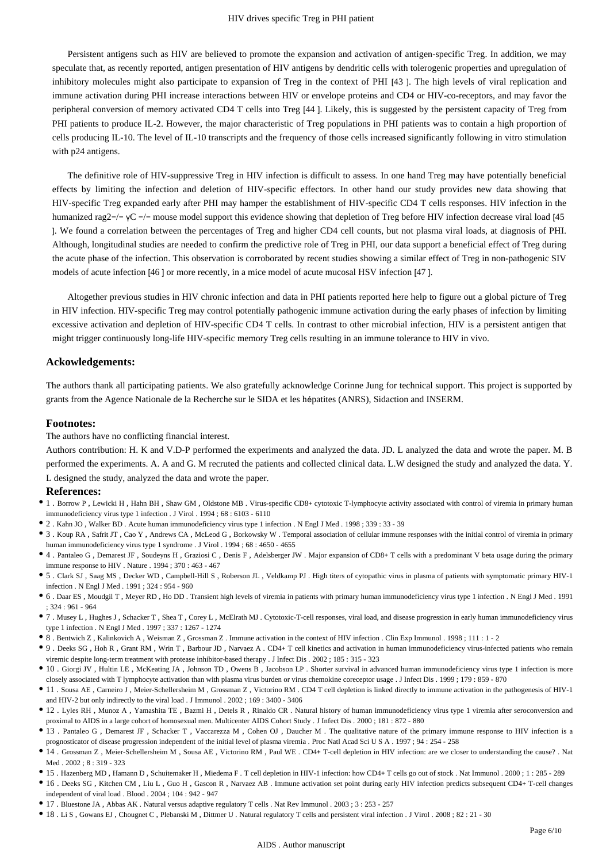Persistent antigens such as HIV are believed to promote the expansion and activation of antigen-specific Treg. In addition, we may speculate that, as recently reported, antigen presentation of HIV antigens by dendritic cells with tolerogenic properties and upregulation of inhibitory molecules might also participate to expansion of Treg in the context of PHI [43 ]. The high levels of viral replication and immune activation during PHI increase interactions between HIV or envelope proteins and CD4 or HIV-co-receptors, and may favor the peripheral conversion of memory activated CD4 T cells into Treg [44 ]. Likely, this is suggested by the persistent capacity of Treg from PHI patients to produce IL-2. However, the major characteristic of Treg populations in PHI patients was to contain a high proportion of cells producing IL-10. The level of IL-10 transcripts and the frequency of those cells increased significantly following in vitro stimulation with p24 antigens.

The definitive role of HIV-suppressive Treg in HIV infection is difficult to assess. In one hand Treg may have potentially beneficial effects by limiting the infection and deletion of HIV-specific effectors. In other hand our study provides new data showing that HIV-specific Treg expanded early after PHI may hamper the establishment of HIV-specific CD4 T cells responses. HIV infection in the humanized rag2−/− γC −/− mouse model support this evidence showing that depletion of Treg before HIV infection decrease viral load [45 ]. We found a correlation between the percentages of Treg and higher CD4 cell counts, but not plasma viral loads, at diagnosis of PHI. Although, longitudinal studies are needed to confirm the predictive role of Treg in PHI, our data support a beneficial effect of Treg during the acute phase of the infection. This observation is corroborated by recent studies showing a similar effect of Treg in non-pathogenic SIV models of acute infection [46 ] or more recently, in a mice model of acute mucosal HSV infection [47 ].

Altogether previous studies in HIV chronic infection and data in PHI patients reported here help to figure out a global picture of Treg in HIV infection. HIV-specific Treg may control potentially pathogenic immune activation during the early phases of infection by limiting excessive activation and depletion of HIV-specific CD4 T cells. In contrast to other microbial infection, HIV is a persistent antigen that might trigger continuously long-life HIV-specific memory Treg cells resulting in an immune tolerance to HIV in vivo.

#### **Ackowledgements:**

The authors thank all participating patients. We also gratefully acknowledge Corinne Jung for technical support. This project is supported by grants from the Agence Nationale de la Recherche sur le SIDA et les hépatites (ANRS), Sidaction and INSERM.

#### **Footnotes:**

The authors have no conflicting financial interest.

Authors contribution: H. K and V.D-P performed the experiments and analyzed the data. JD. L analyzed the data and wrote the paper. M. B performed the experiments. A. A and G. M recruted the patients and collected clinical data. L.W designed the study and analyzed the data. Y. L designed the study, analyzed the data and wrote the paper.

#### **References:**

- 1 . Borrow P , Lewicki H , Hahn BH , Shaw GM , Oldstone MB . Virus-specific CD8+ cytotoxic T-lymphocyte activity associated with control of viremia in primary human immunodeficiency virus type 1 infection . J Virol . 1994 ; 68 : 6103 - 6110
- 2 . Kahn JO , Walker BD . Acute human immunodeficiency virus type 1 infection . N Engl J Med . 1998 ; 339 : 33 39
- 3 . Koup RA , Safrit JT , Cao Y , Andrews CA , McLeod G , Borkowsky W . Temporal association of cellular immune responses with the initial control of viremia in primary human immunodeficiency virus type 1 syndrome . J Virol . 1994 ; 68 : 4650 - 4655
- 4 . Pantaleo G , Demarest JF , Soudeyns H , Graziosi C , Denis F , Adelsberger JW . Major expansion of CD8+ T cells with a predominant V beta usage during the primary immune response to HIV . Nature . 1994 ; 370 : 463 - 467
- 5 . Clark SJ , Saag MS , Decker WD , Campbell-Hill S , Roberson JL , Veldkamp PJ . High titers of cytopathic virus in plasma of patients with symptomatic primary HIV-1 infection . N Engl J Med . 1991 ; 324 : 954 - 960
- 6 . Daar ES , Moudgil T , Meyer RD , Ho DD . Transient high levels of viremia in patients with primary human immunodeficiency virus type 1 infection . N Engl J Med . 1991  $.324 \cdot 961 - 964$
- 7 . Musey L , Hughes J , Schacker T , Shea T , Corey L , McElrath MJ . Cytotoxic-T-cell responses, viral load, and disease progression in early human immunodeficiency virus type 1 infection . N Engl J Med . 1997 ; 337 : 1267 - 1274
- 8 . Bentwich Z , Kalinkovich A , Weisman Z , Grossman Z . Immune activation in the context of HIV infection . Clin Exp Immunol . 1998 ; 111 : 1 2
- 9 . Deeks SG , Hoh R , Grant RM , Wrin T , Barbour JD , Narvaez A . CD4+ T cell kinetics and activation in human immunodeficiency virus-infected patients who remain viremic despite long-term treatment with protease inhibitor-based therapy . J Infect Dis . 2002 ; 185 : 315 - 323
- 10 . Giorgi JV , Hultin LE , McKeating JA , Johnson TD , Owens B , Jacobson LP . Shorter survival in advanced human immunodeficiency virus type 1 infection is more closely associated with T lymphocyte activation than with plasma virus burden or virus chemokine coreceptor usage . J Infect Dis . 1999 ; 179 : 859 - 870
- 11 . Sousa AE, Carneiro J, Meier-Schellersheim M, Grossman Z, Victorino RM . CD4 T cell depletion is linked directly to immune activation in the pathogenesis of HIV-1 and HIV-2 but only indirectly to the viral load . J Immunol . 2002 ; 169 : 3400 - 3406
- 12 . Lyles RH , Munoz A , Yamashita TE , Bazmi H , Detels R , Rinaldo CR . Natural history of human immunodeficiency virus type 1 viremia after seroconversion and proximal to AIDS in a large cohort of homosexual men. Multicenter AIDS Cohort Study . J Infect Dis . 2000 ; 181 : 872 - 880
- 13 . Pantaleo G , Demarest JF , Schacker T , Vaccarezza M , Cohen OJ , Daucher M . The qualitative nature of the primary immune response to HIV infection is a prognosticator of disease progression independent of the initial level of plasma viremia . Proc Natl Acad Sci U S A . 1997 ; 94 : 254 - 258
- 14 . Grossman Z , Meier-Schellersheim M , Sousa AE , Victorino RM , Paul WE . CD4+ T-cell depletion in HIV infection: are we closer to understanding the cause? . Nat Med . 2002 ; 8 : 319 - 323
- 15 . Hazenberg MD , Hamann D , Schuitemaker H , Miedema F . T cell depletion in HIV-1 infection: how CD4+ T cells go out of stock . Nat Immunol . 2000 ; 1 : 285 289
- 16 . Deeks SG , Kitchen CM , Liu L , Guo H , Gascon R , Narvaez AB . Immune activation set point during early HIV infection predicts subsequent CD4+ T-cell changes independent of viral load . Blood . 2004 ; 104 : 942 - 947
- 17 . Bluestone JA , Abbas AK . Natural versus adaptive regulatory T cells . Nat Rev Immunol . 2003 ; 3 : 253 257
- 18 . Li S , Gowans EJ , Chougnet C , Plebanski M , Dittmer U . Natural regulatory T cells and persistent viral infection . J Virol . 2008 ; 82 : 21 30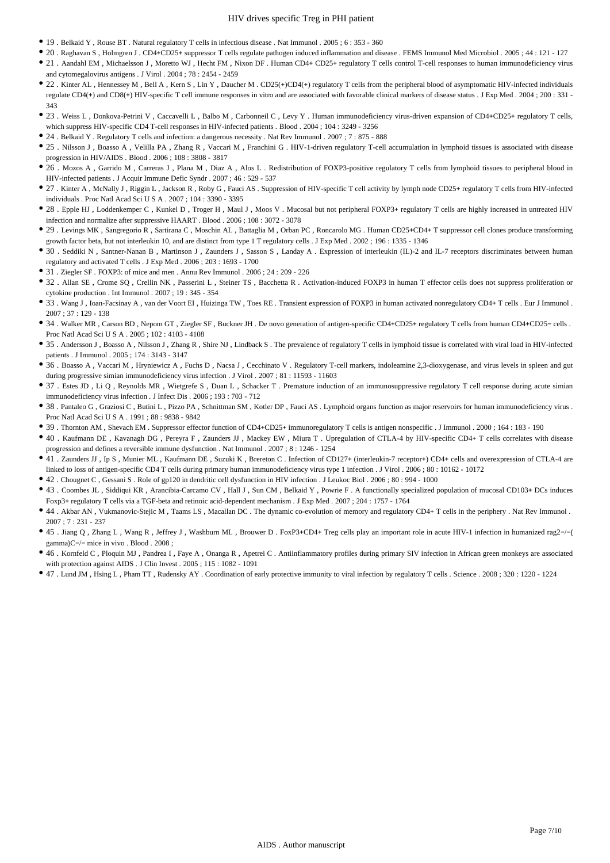#### HIV drives specific Treg in PHI patient

- 19 . Belkaid Y , Rouse BT . Natural regulatory T cells in infectious disease . Nat Immunol . 2005 ; 6 : 353 360
- 20 . Raghavan S , Holmgren J . CD4+CD25+ suppressor T cells regulate pathogen induced inflammation and disease . FEMS Immunol Med Microbiol . 2005 ; 44 : 121 127
- 21 . Aandahl EM , Michaelsson J , Moretto WJ , Hecht FM , Nixon DF . Human CD4+ CD25+ regulatory T cells control T-cell responses to human immunodeficiency virus and cytomegalovirus antigens . J Virol . 2004 ; 78 : 2454 - 2459
- 22 . Kinter AL , Hennessey M , Bell A , Kern S , Lin Y , Daucher M . CD25(+)CD4(+) regulatory T cells from the peripheral blood of asymptomatic HIV-infected individuals regulate CD4(+) and CD8(+) HIV-specific T cell immune responses in vitro and are associated with favorable clinical markers of disease status . J Exp Med . 2004 ; 200 : 331 -343
- 23 . Weiss L , Donkova-Petrini V , Caccavelli L , Balbo M , Carbonneil C , Levy Y . Human immunodeficiency virus-driven expansion of CD4+CD25+ regulatory T cells, which suppress HIV-specific CD4 T-cell responses in HIV-infected patients . Blood . 2004 ; 104 : 3249 - 3256
- 24 . Belkaid Y . Regulatory T cells and infection: a dangerous necessity . Nat Rev Immunol . 2007 ; 7 : 875 888
- 25 . Nilsson J , Boasso A , Velilla PA , Zhang R , Vaccari M , Franchini G . HIV-1-driven regulatory T-cell accumulation in lymphoid tissues is associated with disease progression in HIV/AIDS . Blood . 2006 ; 108 : 3808 - 3817
- 26 . Mozos A , Garrido M , Carreras J , Plana M , Diaz A , Alos L . Redistribution of FOXP3-positive regulatory T cells from lymphoid tissues to peripheral blood in HIV-infected patients . J Acquir Immune Defic Syndr . 2007 ; 46 : 529 - 537
- 27. Kinter A, McNally J, Riggin L, Jackson R, Roby G, Fauci AS. Suppression of HIV-specific T cell activity by lymph node CD25+ regulatory T cells from HIV-infected individuals . Proc Natl Acad Sci U S A . 2007 ; 104 : 3390 - 3395
- 28 . Epple HJ , Loddenkemper C , Kunkel D , Troger H , Maul J , Moos V . Mucosal but not peripheral FOXP3+ regulatory T cells are highly increased in untreated HIV infection and normalize after suppressive HAART . Blood . 2006 ; 108 : 3072 - 3078
- 29 . Levings MK , Sangregorio R , Sartirana C , Moschin AL , Battaglia M , Orban PC , Roncarolo MG . Human CD25+CD4+ T suppressor cell clones produce transforming growth factor beta, but not interleukin 10, and are distinct from type 1 T regulatory cells . J Exp Med . 2002 ; 196 : 1335 - 1346
- 30 . Seddiki N , Santner-Nanan B , Martinson J , Zaunders J , Sasson S , Landay A . Expression of interleukin (IL)-2 and IL-7 receptors discriminates between human regulatory and activated T cells . J Exp Med . 2006 ; 203 : 1693 - 1700
- 31 . Ziegler SF . FOXP3: of mice and men . Annu Rev Immunol . 2006 ; 24 : 209 226
- 32 . Allan SE, Crome SQ, Crellin NK, Passerini L, Steiner TS, Bacchetta R. Activation-induced FOXP3 in human T effector cells does not suppress proliferation or cytokine production . Int Immunol . 2007 ; 19 : 345 - 354
- 33 . Wang J , Ioan-Facsinay A , van der Voort EI , Huizinga TW , Toes RE . Transient expression of FOXP3 in human activated nonregulatory CD4+ T cells . Eur J Immunol . 2007 ; 37 : 129 - 138
- 34 . Walker MR , Carson BD , Nepom GT , Ziegler SF , Buckner JH . De novo generation of antigen-specific CD4+CD25+ regulatory T cells from human CD4+CD25− cells . Proc Natl Acad Sci U S A . 2005 ; 102 : 4103 - 4108
- 35 . Andersson J , Boasso A , Nilsson J , Zhang R , Shire NJ , Lindback S . The prevalence of regulatory T cells in lymphoid tissue is correlated with viral load in HIV-infected patients . J Immunol . 2005 ; 174 : 3143 - 3147
- 36 . Boasso A , Vaccari M , Hryniewicz A , Fuchs D , Nacsa J , Cecchinato V . Regulatory T-cell markers, indoleamine 2,3-dioxygenase, and virus levels in spleen and gut during progressive simian immunodeficiency virus infection . J Virol . 2007 ; 81 : 11593 - 11603
- 37 . Estes JD, Li Q, Reynolds MR, Wietgrefe S, Duan L, Schacker T. Premature induction of an immunosuppressive regulatory T cell response during acute simian immunodeficiency virus infection . J Infect Dis . 2006 ; 193 : 703 - 712
- 38 . Pantaleo G , Graziosi C , Butini L , Pizzo PA , Schnittman SM , Kotler DP , Fauci AS . Lymphoid organs function as major reservoirs for human immunodeficiency virus . Proc Natl Acad Sci U S A . 1991 ; 88 : 9838 - 9842
- 39 . Thornton AM , Shevach EM . Suppressor effector function of CD4+CD25+ immunoregulatory T cells is antigen nonspecific . J Immunol . 2000 ; 164 : 183 190
- 40 . Kaufmann DE , Kavanagh DG , Pereyra F , Zaunders JJ , Mackey EW , Miura T . Upregulation of CTLA-4 by HIV-specific CD4+ T cells correlates with disease progression and defines a reversible immune dysfunction . Nat Immunol . 2007 ; 8 : 1246 - 1254
- 41 . Zaunders JJ , Ip S , Munier ML , Kaufmann DE , Suzuki K , Brereton C . Infection of CD127+ (interleukin-7 receptor+) CD4+ cells and overexpression of CTLA-4 are linked to loss of antigen-specific CD4 T cells during primary human immunodeficiency virus type 1 infection . J Virol . 2006 ; 80 : 10162 - 10172
- 42 . Chougnet C , Gessani S . Role of gp120 in dendritic cell dysfunction in HIV infection . J Leukoc Biol . 2006 ; 80 : 994 1000
- 43 . Coombes JL , Siddiqui KR , Arancibia-Carcamo CV , Hall J , Sun CM , Belkaid Y , Powrie F . A functionally specialized population of mucosal CD103+ DCs induces Foxp3+ regulatory T cells via a TGF-beta and retinoic acid-dependent mechanism . J Exp Med . 2007 ; 204 : 1757 - 1764
- 44 . Akbar AN , Vukmanovic-Stejic M , Taams LS , Macallan DC . The dynamic co-evolution of memory and regulatory CD4+ T cells in the periphery . Nat Rev Immunol . 2007 ; 7 : 231 - 237
- 45 . Jiang Q , Zhang L , Wang R , Jeffrey J , Washburn ML , Brouwer D . FoxP3+CD4+ Treg cells play an important role in acute HIV-1 infection in humanized rag2−/−{ gamma}C−/− mice in vivo . Blood . 2008 ;
- 46 . Kornfeld C , Ploquin MJ , Pandrea I , Faye A , Onanga R , Apetrei C . Antiinflammatory profiles during primary SIV infection in African green monkeys are associated with protection against AIDS . J Clin Invest . 2005 ; 115 : 1082 - 1091
- 47 . Lund JM , Hsing L , Pham TT , Rudensky AY . Coordination of early protective immunity to viral infection by regulatory T cells . Science . 2008 ; 320 : 1220 1224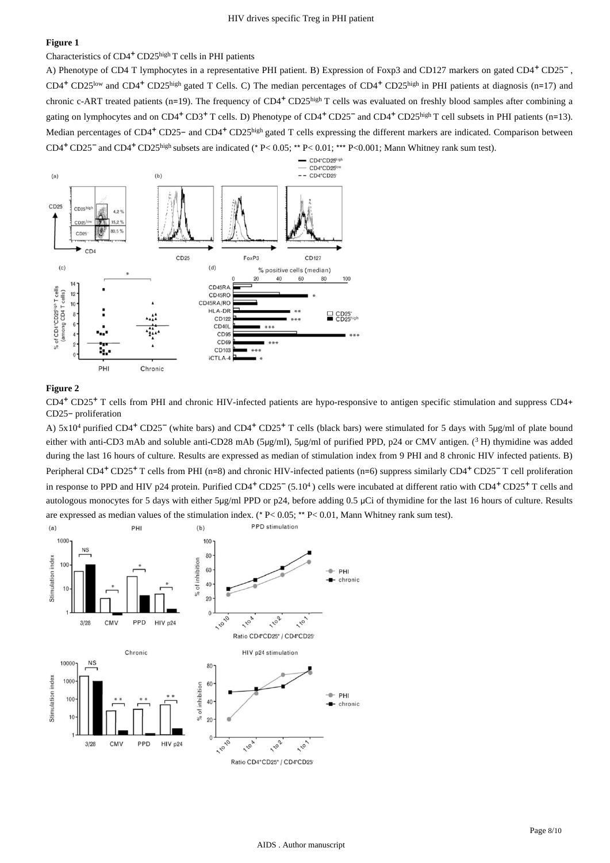#### **Figure 1**

## Characteristics of  $CD4^+$  CD25 high T cells in PHI patients

A) Phenotype of CD4 T lymphocytes in a representative PHI patient. B) Expression of Foxp3 and CD127 markers on gated CD4<sup>+</sup> CD25<sup>-</sup>,  $CD4^+$  CD25<sup>low</sup> and CD4<sup>+</sup> CD25<sup>high</sup> gated T Cells. C) The median percentages of CD4<sup>+</sup> CD25<sup>high</sup> in PHI patients at diagnosis (n=17) and chronic c-ART treated patients (n=19). The frequency of  $CD4^+$  CD25 high T cells was evaluated on freshly blood samples after combining a gating on lymphocytes and on  $CD4^+CD3^+T$  cells. D) Phenotype of  $CD4^+CD25^-$  and  $CD4^+CD25^{\text{high}}T$  cell subsets in PHI patients (n=13). Median percentages of CD4<sup>+</sup> CD25- and CD4<sup>+</sup> CD25<sup>high</sup> gated T cells expressing the different markers are indicated. Comparison between CD4<sup>+</sup> CD25<sup>-</sup> and CD4<sup>+</sup> CD25<sup>high</sup> subsets are indicated (\* P< 0.05; \*\* P< 0.01; \*\*\* P<0.001; Mann Whitney rank sum test).



#### **Figure 2**

CD4<sup>+</sup> CD25<sup>+</sup> T cells from PHI and chronic HIV-infected patients are hypo-responsive to antigen specific stimulation and suppress CD4+ CD25− proliferation

A)  $5x10^4$  purified CD4<sup>+</sup> CD25<sup>-</sup> (white bars) and CD4<sup>+</sup> CD25<sup>+</sup> T cells (black bars) were stimulated for 5 days with 5µg/ml of plate bound either with anti-CD3 mAb and soluble anti-CD28 mAb (5µg/ml), 5µg/ml of purified PPD, p24 or CMV antigen. (3H) thymidine was added during the last 16 hours of culture. Results are expressed as median of stimulation index from 9 PHI and 8 chronic HIV infected patients. B) Peripheral  $CD4^+CD25^+$ T cells from PHI (n=8) and chronic HIV-infected patients (n=6) suppress similarly  $CD4^+CD25^-$ T cell proliferation in response to PPD and HIV p24 protein. Purified  $CD4^+CD25^-(5.10^4)$  cells were incubated at different ratio with  $CD4^+CD25^+$  T cells and autologous monocytes for 5 days with either 5μg/ml PPD or p24, before adding 0.5 μCi of thymidine for the last 16 hours of culture. Results are expressed as median values of the stimulation index. (\* P< 0.05; \*\* P< 0.01, Mann Whitney rank sum test).

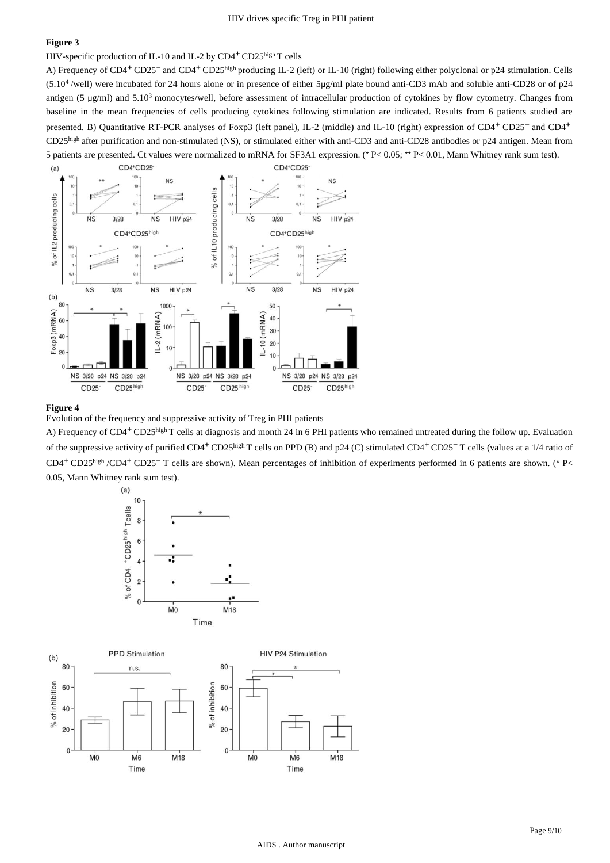## **Figure 3**

HIV-specific production of IL-10 and IL-2 by  $CD4^+$ CD25 high T cells

A) Frequency of CD4<sup>+</sup> CD25<sup>-</sup> and CD4<sup>+</sup> CD25<sup>high</sup> producing IL-2 (left) or IL-10 (right) following either polyclonal or p24 stimulation. Cells  $(5.10<sup>4</sup>/well)$  were incubated for 24 hours alone or in presence of either  $5\mu g/ml$  plate bound anti-CD3 mAb and soluble anti-CD28 or of p24 antigen (5  $\mu$ g/ml) and 5.10<sup>3</sup> monocytes/well, before assessment of intracellular production of cytokines by flow cytometry. Changes from baseline in the mean frequencies of cells producing cytokines following stimulation are indicated. Results from 6 patients studied are presented. B) Quantitative RT-PCR analyses of Foxp3 (left panel), IL-2 (middle) and IL-10 (right) expression of CD4<sup>+</sup> CD25<sup>-</sup> and CD4<sup>+</sup> CD25high after purification and non-stimulated (NS), or stimulated either with anti-CD3 and anti-CD28 antibodies or p24 antigen. Mean from 5 patients are presented. Ct values were normalized to mRNA for SF3A1 expression. (\* P< 0.05; \*\* P< 0.01, Mann Whitney rank sum test).



#### **Figure 4**

Evolution of the frequency and suppressive activity of Treg in PHI patients

A) Frequency of CD4<sup>+</sup> CD25<sup>high</sup> T cells at diagnosis and month 24 in 6 PHI patients who remained untreated during the follow up. Evaluation of the suppressive activity of purified CD4<sup>+</sup> CD25<sup>high</sup> T cells on PPD (B) and p24 (C) stimulated CD4<sup>+</sup> CD25<sup>-</sup> T cells (values at a 1/4 ratio of CD4<sup>+</sup> CD25<sup>high</sup>/CD4<sup>+</sup> CD25<sup>-</sup> T cells are shown). Mean percentages of inhibition of experiments performed in 6 patients are shown. (\* P< 0.05, Mann Whitney rank sum test).